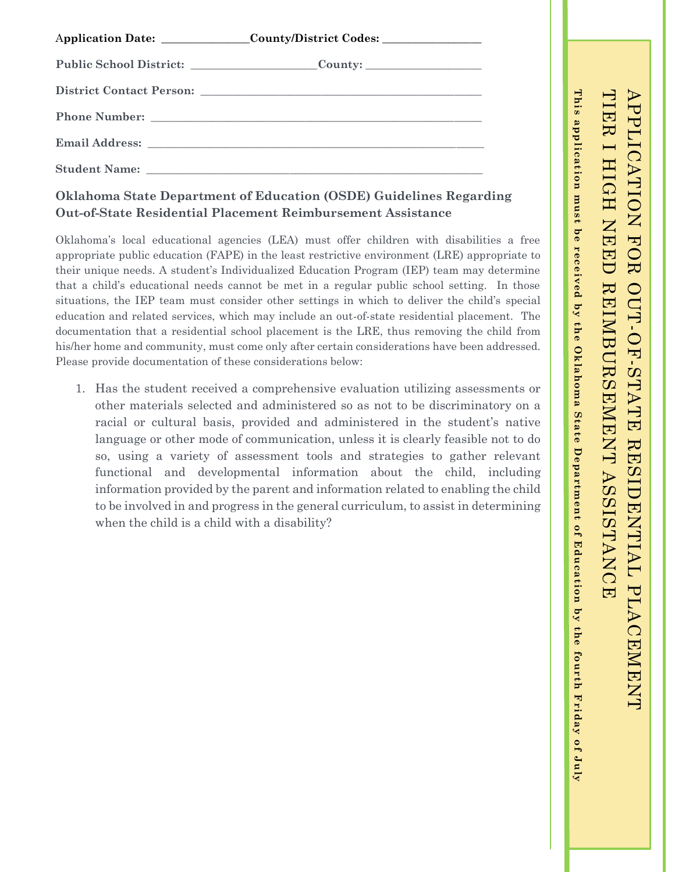| Application Date: ______________County/District Codes: _________________________ |  |
|----------------------------------------------------------------------------------|--|
|                                                                                  |  |
|                                                                                  |  |
|                                                                                  |  |
|                                                                                  |  |
|                                                                                  |  |
|                                                                                  |  |

## **Oklahoma State Department of Education (OSDE) Guidelines Regarding Out-of-State Residential Placement Reimbursement Assistance**

Oklahoma's local educational agencies (LEA) must offer children with disabilities a free appropriate public education (FAPE) in the least restrictive environment (LRE) appropriate to their unique needs. A student's Individualized Education Program (IEP) team may determine that a child's educational needs cannot be met in a regular public school setting. In those situations, the IEP team must consider other settings in which to deliver the child's special education and related services, which may include an out-of-state residential placement. The documentation that a residential school placement is the LRE, thus removing the child from his/her home and community, must come only after certain considerations have been addressed. Please provide documentation of these considerations below:

1. Has the student received a comprehensive evaluation utilizing assessments or other materials selected and administered so as not to be discriminatory on a racial or cultural basis, provided and administered in the student's native language or other mode of communication, unless it is clearly feasible not to do so, using a variety of assessment tools and strategies to gather relevant functional and developmental information about the child, including information provided by the parent and information related to enabling the child to be involved in and progress in the general curriculum, to assist in determining when the child is a child with a disability?

APPLICATION FOR OUT-OF-STATE RESIDENTIAL

OUT-OF-STATE

APPLICATION FOR

PLACEMENT

RESIDENTIAL PLACEMENT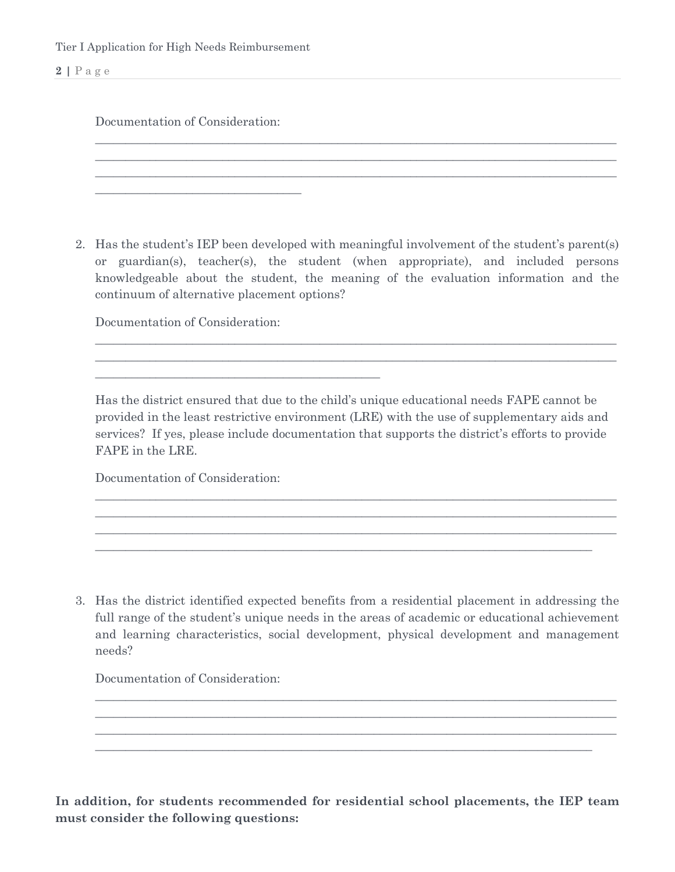**2 |** P a g e

Documentation of Consideration:

\_\_\_\_\_\_\_\_\_\_\_\_\_\_\_\_\_\_\_\_\_\_\_\_\_\_\_\_\_\_\_\_\_\_

2. Has the student's IEP been developed with meaningful involvement of the student's parent(s) or guardian(s), teacher(s), the student (when appropriate), and included persons knowledgeable about the student, the meaning of the evaluation information and the continuum of alternative placement options?

 $\_$  , and the set of the set of the set of the set of the set of the set of the set of the set of the set of the set of the set of the set of the set of the set of the set of the set of the set of the set of the set of th \_\_\_\_\_\_\_\_\_\_\_\_\_\_\_\_\_\_\_\_\_\_\_\_\_\_\_\_\_\_\_\_\_\_\_\_\_\_\_\_\_\_\_\_\_\_\_\_\_\_\_\_\_\_\_\_\_\_\_\_\_\_\_\_\_\_\_\_\_\_\_\_\_\_\_\_\_\_\_\_\_\_\_\_\_\_  $\_$  , and the set of the set of the set of the set of the set of the set of the set of the set of the set of the set of the set of the set of the set of the set of the set of the set of the set of the set of the set of th

Documentation of Consideration:

\_\_\_\_\_\_\_\_\_\_\_\_\_\_\_\_\_\_\_\_\_\_\_\_\_\_\_\_\_\_\_\_\_\_\_\_\_\_\_\_\_\_\_\_\_\_\_

Has the district ensured that due to the child's unique educational needs FAPE cannot be provided in the least restrictive environment (LRE) with the use of supplementary aids and services? If yes, please include documentation that supports the district's efforts to provide FAPE in the LRE.

\_\_\_\_\_\_\_\_\_\_\_\_\_\_\_\_\_\_\_\_\_\_\_\_\_\_\_\_\_\_\_\_\_\_\_\_\_\_\_\_\_\_\_\_\_\_\_\_\_\_\_\_\_\_\_\_\_\_\_\_\_\_\_\_\_\_\_\_\_\_\_\_\_\_\_\_\_\_\_\_\_\_\_\_\_\_ \_\_\_\_\_\_\_\_\_\_\_\_\_\_\_\_\_\_\_\_\_\_\_\_\_\_\_\_\_\_\_\_\_\_\_\_\_\_\_\_\_\_\_\_\_\_\_\_\_\_\_\_\_\_\_\_\_\_\_\_\_\_\_\_\_\_\_\_\_\_\_\_\_\_\_\_\_\_\_\_\_\_\_\_\_\_  $\_$  , and the set of the set of the set of the set of the set of the set of the set of the set of the set of the set of the set of the set of the set of the set of the set of the set of the set of the set of the set of th  $\_$  , and the set of the set of the set of the set of the set of the set of the set of the set of the set of the set of the set of the set of the set of the set of the set of the set of the set of the set of the set of th

\_\_\_\_\_\_\_\_\_\_\_\_\_\_\_\_\_\_\_\_\_\_\_\_\_\_\_\_\_\_\_\_\_\_\_\_\_\_\_\_\_\_\_\_\_\_\_\_\_\_\_\_\_\_\_\_\_\_\_\_\_\_\_\_\_\_\_\_\_\_\_\_\_\_\_\_\_\_\_\_\_\_\_\_\_\_  $\_$  , and the set of the set of the set of the set of the set of the set of the set of the set of the set of the set of the set of the set of the set of the set of the set of the set of the set of the set of the set of th

Documentation of Consideration:

3. Has the district identified expected benefits from a residential placement in addressing the full range of the student's unique needs in the areas of academic or educational achievement and learning characteristics, social development, physical development and management needs?

 $\_$  , and the set of the set of the set of the set of the set of the set of the set of the set of the set of the set of the set of the set of the set of the set of the set of the set of the set of the set of the set of th \_\_\_\_\_\_\_\_\_\_\_\_\_\_\_\_\_\_\_\_\_\_\_\_\_\_\_\_\_\_\_\_\_\_\_\_\_\_\_\_\_\_\_\_\_\_\_\_\_\_\_\_\_\_\_\_\_\_\_\_\_\_\_\_\_\_\_\_\_\_\_\_\_\_\_\_\_\_\_\_\_\_\_\_\_\_  $\_$  , and the set of the set of the set of the set of the set of the set of the set of the set of the set of the set of the set of the set of the set of the set of the set of the set of the set of the set of the set of th \_\_\_\_\_\_\_\_\_\_\_\_\_\_\_\_\_\_\_\_\_\_\_\_\_\_\_\_\_\_\_\_\_\_\_\_\_\_\_\_\_\_\_\_\_\_\_\_\_\_\_\_\_\_\_\_\_\_\_\_\_\_\_\_\_\_\_\_\_\_\_\_\_\_\_\_\_\_\_\_\_\_

Documentation of Consideration:

**In addition, for students recommended for residential school placements, the IEP team must consider the following questions:**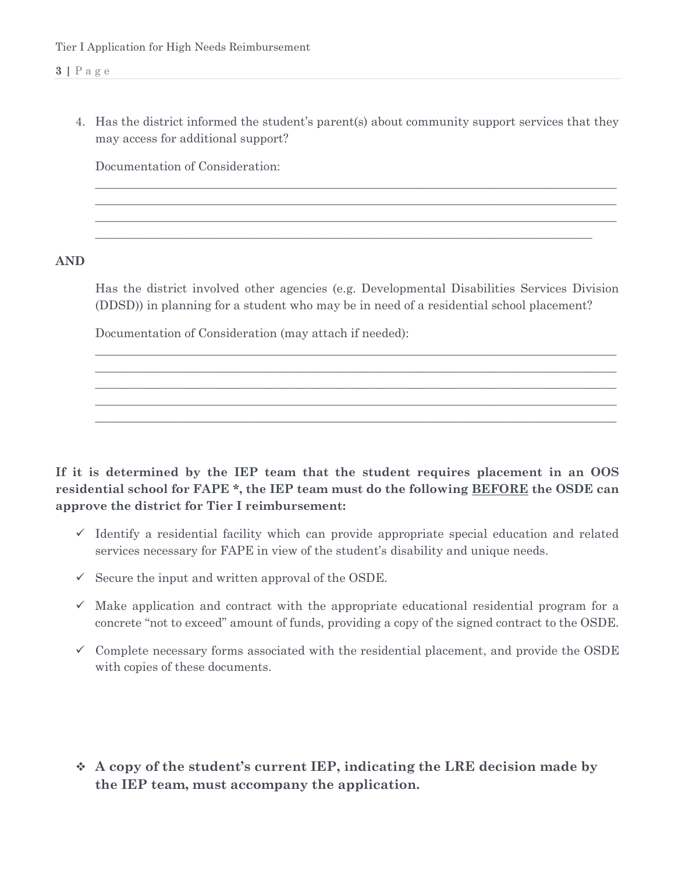4. Has the district informed the student's parent(s) about community support services that they may access for additional support?

\_\_\_\_\_\_\_\_\_\_\_\_\_\_\_\_\_\_\_\_\_\_\_\_\_\_\_\_\_\_\_\_\_\_\_\_\_\_\_\_\_\_\_\_\_\_\_\_\_\_\_\_\_\_\_\_\_\_\_\_\_\_\_\_\_\_\_\_\_\_\_\_\_\_\_\_\_\_\_\_\_\_\_\_\_\_  $\_$  , and the set of the set of the set of the set of the set of the set of the set of the set of the set of the set of the set of the set of the set of the set of the set of the set of the set of the set of the set of th \_\_\_\_\_\_\_\_\_\_\_\_\_\_\_\_\_\_\_\_\_\_\_\_\_\_\_\_\_\_\_\_\_\_\_\_\_\_\_\_\_\_\_\_\_\_\_\_\_\_\_\_\_\_\_\_\_\_\_\_\_\_\_\_\_\_\_\_\_\_\_\_\_\_\_\_\_\_\_\_\_\_\_\_\_\_  $\_$  , and the set of the set of the set of the set of the set of the set of the set of the set of the set of the set of the set of the set of the set of the set of the set of the set of the set of the set of the set of th

Documentation of Consideration:

## **AND**

Has the district involved other agencies (e.g. Developmental Disabilities Services Division (DDSD)) in planning for a student who may be in need of a residential school placement?

 $\_$  , and the set of the set of the set of the set of the set of the set of the set of the set of the set of the set of the set of the set of the set of the set of the set of the set of the set of the set of the set of th \_\_\_\_\_\_\_\_\_\_\_\_\_\_\_\_\_\_\_\_\_\_\_\_\_\_\_\_\_\_\_\_\_\_\_\_\_\_\_\_\_\_\_\_\_\_\_\_\_\_\_\_\_\_\_\_\_\_\_\_\_\_\_\_\_\_\_\_\_\_\_\_\_\_\_\_\_\_\_\_\_\_\_\_\_\_  $\_$  , and the set of the set of the set of the set of the set of the set of the set of the set of the set of the set of the set of the set of the set of the set of the set of the set of the set of the set of the set of th  $\_$  , and the set of the set of the set of the set of the set of the set of the set of the set of the set of the set of the set of the set of the set of the set of the set of the set of the set of the set of the set of th  $\_$  , and the set of the set of the set of the set of the set of the set of the set of the set of the set of the set of the set of the set of the set of the set of the set of the set of the set of the set of the set of th

Documentation of Consideration (may attach if needed):

**If it is determined by the IEP team that the student requires placement in an OOS residential school for FAPE \*, the IEP team must do the following BEFORE the OSDE can approve the district for Tier I reimbursement:**

- $\checkmark$  Identify a residential facility which can provide appropriate special education and related services necessary for FAPE in view of the student's disability and unique needs.
- $\checkmark$  Secure the input and written approval of the OSDE.
- $\checkmark$  Make application and contract with the appropriate educational residential program for a concrete "not to exceed" amount of funds, providing a copy of the signed contract to the OSDE.
- $\checkmark$  Complete necessary forms associated with the residential placement, and provide the OSDE with copies of these documents.
- **A copy of the student's current IEP, indicating the LRE decision made by the IEP team, must accompany the application.**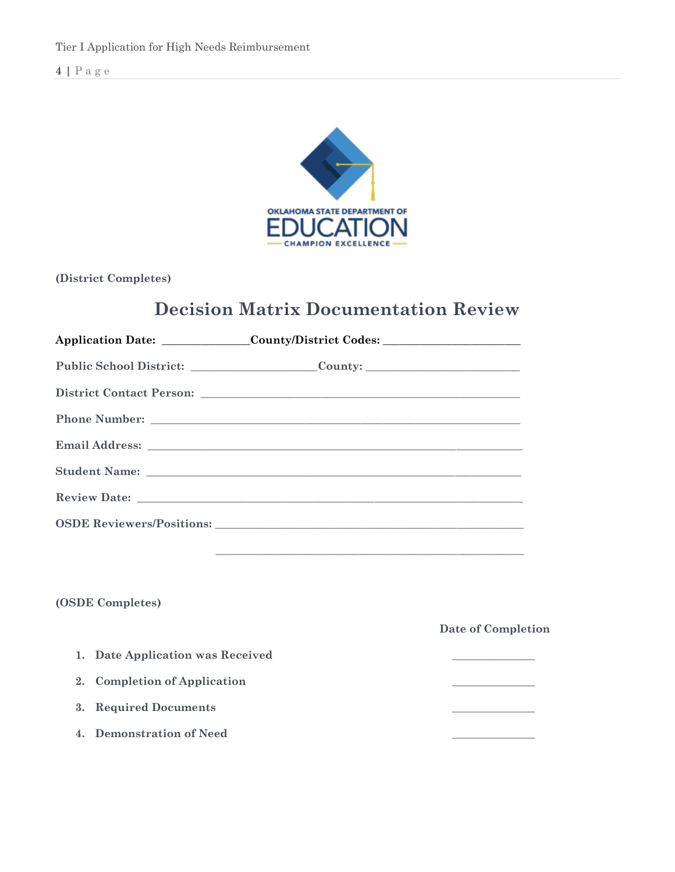**4 |** P a g e



**(District Completes)**

## **Decision Matrix Documentation Review**

|                                                 | Application Date: ______________County/District Codes: _________________________                                      |                                              |
|-------------------------------------------------|-----------------------------------------------------------------------------------------------------------------------|----------------------------------------------|
|                                                 |                                                                                                                       |                                              |
|                                                 |                                                                                                                       |                                              |
|                                                 |                                                                                                                       |                                              |
|                                                 |                                                                                                                       |                                              |
|                                                 |                                                                                                                       |                                              |
|                                                 |                                                                                                                       |                                              |
|                                                 |                                                                                                                       |                                              |
|                                                 | <u> 1989 - Johann Harry Harry Harry Harry Harry Harry Harry Harry Harry Harry Harry Harry Harry Harry Harry Harry</u> |                                              |
|                                                 |                                                                                                                       |                                              |
| (OSDE Completes)                                |                                                                                                                       |                                              |
|                                                 |                                                                                                                       | Date of Completion                           |
| Date Application was Received<br>$\mathbf{1}$ . |                                                                                                                       |                                              |
| <b>Completion of Application</b><br>2.          |                                                                                                                       | the control of the control of the control of |
| <b>Required Documents</b><br>3.                 |                                                                                                                       | <u> 1990 - Johann Barn, mars ann an t-</u>   |
| Demonstration of Need<br>$\boldsymbol{4}$ .     |                                                                                                                       |                                              |
|                                                 |                                                                                                                       |                                              |